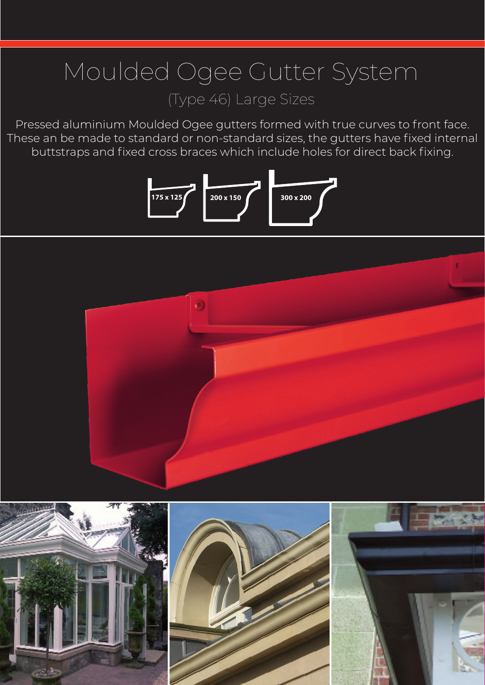# Moulded Ogee Gutter System (Type 46) Large Sizes

Pressed aluminium Moulded Ogee gutters formed with true curves to front face. These an be made to standard or non-standard sizes, the gutters have fixed internal buttstraps and fixed cross braces which include holes for direct back fixing.





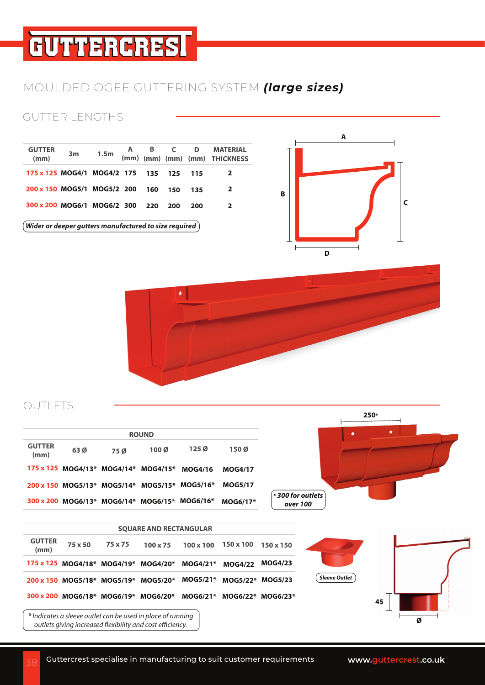# **GUTTERCRESI**

### MOULDED OGEE GUTTERING SYSTEM *(large sizes)*

### GUTTER LENGTHS

| <b>GUTTER</b><br>(mm)               | 3m | 1.5m |     |     |       | A B C D MATERIAL<br>(mm) (mm) (mm) (mm) THICKNESS |
|-------------------------------------|----|------|-----|-----|-------|---------------------------------------------------|
| 175 x 125 MOG4/1 MOG4/2 175 135 125 |    |      |     |     | - 115 |                                                   |
| 200 x 150 MOG5/1 MOG5/2 200         |    |      | 160 | 150 | 135   |                                                   |
| 300 x 200 MOG6/1 MOG6/2 300 220     |    |      |     | 200 | 200   |                                                   |





#### **OUTLETS**

|                       |                                                      |     | <b>ROUND</b>                |                  |                |
|-----------------------|------------------------------------------------------|-----|-----------------------------|------------------|----------------|
| <b>GUTTER</b><br>(mm) | 63 Ø                                                 | 75Ø | $100\,\mathrm{\varnothing}$ | 125 <sub>0</sub> | 150Ø           |
|                       | $175 \times 125$ MOG4/13* MOG4/14* MOG4/15*          |     |                             | <b>MOG4/16</b>   | <b>MOG4/17</b> |
|                       | 200 x 150 MOG5/13* MOG5/14* MOG5/15* MOG5/16*        |     |                             |                  | <b>MOG5/17</b> |
|                       | $300 \times 200$ MOG6/13* MOG6/14* MOG6/15* MOG6/16* |     |                             |                  | $MOG6/17*$     |



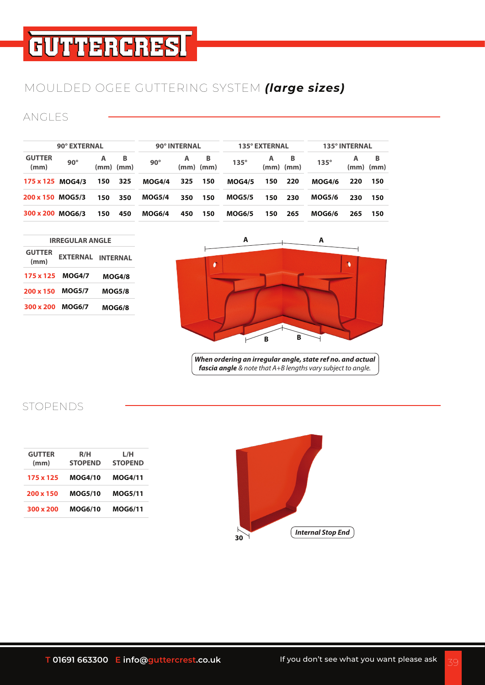# **GUTTERCRESI**

# MOULDED OGEE GUTTERING SYSTEM *(large sizes)*

#### ANGLES

| 90° EXTERNAL     |     |                        |                                                                                     | 90° INTERNAL |           |               | 135° EXTERNAL |     |               | 135° INTERNAL |           |
|------------------|-----|------------------------|-------------------------------------------------------------------------------------|--------------|-----------|---------------|---------------|-----|---------------|---------------|-----------|
| $90^\circ$       | A   | B                      | $90^\circ$                                                                          | A            | B         | $135^\circ$   | A             | B   | $135^\circ$   | A<br>(mm)     | B<br>(mm) |
| 175 x 125 MOG4/3 | 150 | 325                    | <b>MOG4/4</b>                                                                       | 325          | 150       | <b>MOG4/5</b> | 150           | 220 | <b>MOG4/6</b> | 220           | 150       |
| 200 x 150 MOG5/3 | 150 | 350                    | <b>MOG5/4</b>                                                                       | 350          | 150       | <b>MOG5/5</b> | 150           | 230 | <b>MOG5/6</b> | 230           | 150       |
| 300 x 200 MOG6/3 | 150 | 450                    | MOG6/4                                                                              | 450          | 150       | <b>MOG6/5</b> | 150           | 265 | <b>MOG6/6</b> | 265           | 150       |
|                  |     |                        |                                                                                     |              |           | A             |               |     | A             |               |           |
| <b>EXTERNAL</b>  |     |                        |                                                                                     |              | $\bullet$ |               |               |     |               |               |           |
| <b>MOG4/7</b>    |     |                        |                                                                                     |              |           |               |               |     |               |               |           |
| <b>MOG5/7</b>    |     |                        |                                                                                     |              |           |               |               |     |               |               |           |
| <b>MOG6/7</b>    |     |                        |                                                                                     |              |           |               |               |     |               |               |           |
|                  |     |                        |                                                                                     |              |           |               | B             | B   |               |               |           |
|                  |     | <b>IRREGULAR ANGLE</b> | $(mm)$ $(mm)$<br><b>INTERNAL</b><br><b>MOG4/8</b><br><b>MOG5/8</b><br><b>MOG6/8</b> |              |           | $(mm)$ $(mm)$ |               |     | $(mm)$ $(mm)$ |               | $\bullet$ |

#### STOPENDS

| <b>GUTTER</b><br>(mm) | R/H<br><b>STOPEND</b> | L/H<br><b>STOPEND</b> |
|-----------------------|-----------------------|-----------------------|
| 175 x 125             | <b>MOG4/10</b>        | <b>MOG4/11</b>        |
| 200 x 150             | <b>MOG5/10</b>        | <b>MOG5/11</b>        |
| 300 x 200             | <b>MOG6/10</b>        | <b>MOG6/11</b>        |